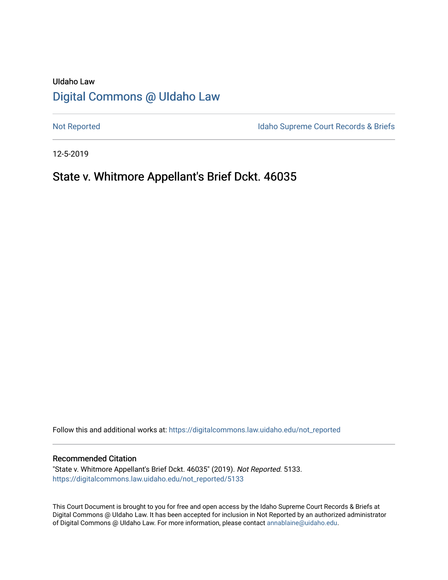# UIdaho Law [Digital Commons @ UIdaho Law](https://digitalcommons.law.uidaho.edu/)

[Not Reported](https://digitalcommons.law.uidaho.edu/not_reported) **Idaho Supreme Court Records & Briefs** 

12-5-2019

# State v. Whitmore Appellant's Brief Dckt. 46035

Follow this and additional works at: [https://digitalcommons.law.uidaho.edu/not\\_reported](https://digitalcommons.law.uidaho.edu/not_reported?utm_source=digitalcommons.law.uidaho.edu%2Fnot_reported%2F5133&utm_medium=PDF&utm_campaign=PDFCoverPages) 

#### Recommended Citation

"State v. Whitmore Appellant's Brief Dckt. 46035" (2019). Not Reported. 5133. [https://digitalcommons.law.uidaho.edu/not\\_reported/5133](https://digitalcommons.law.uidaho.edu/not_reported/5133?utm_source=digitalcommons.law.uidaho.edu%2Fnot_reported%2F5133&utm_medium=PDF&utm_campaign=PDFCoverPages)

This Court Document is brought to you for free and open access by the Idaho Supreme Court Records & Briefs at Digital Commons @ UIdaho Law. It has been accepted for inclusion in Not Reported by an authorized administrator of Digital Commons @ UIdaho Law. For more information, please contact [annablaine@uidaho.edu](mailto:annablaine@uidaho.edu).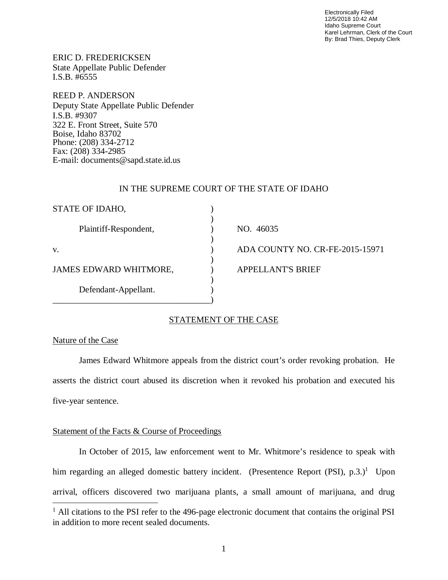Electronically Filed 12/5/2018 10:42 AM Idaho Supreme Court Karel Lehrman, Clerk of the Court By: Brad Thies, Deputy Clerk

ERIC D. FREDERICKSEN State Appellate Public Defender I.S.B. #6555

REED P. ANDERSON Deputy State Appellate Public Defender I.S.B. #9307 322 E. Front Street, Suite 570 Boise, Idaho 83702 Phone: (208) 334-2712 Fax: (208) 334-2985 E-mail: documents@sapd.state.id.us

## IN THE SUPREME COURT OF THE STATE OF IDAHO

| STATE OF IDAHO,               |                                 |
|-------------------------------|---------------------------------|
| Plaintiff-Respondent,         | NO. 46035                       |
|                               |                                 |
| V.                            | ADA COUNTY NO. CR-FE-2015-15971 |
|                               |                                 |
| <b>JAMES EDWARD WHITMORE,</b> | <b>APPELLANT'S BRIEF</b>        |
|                               |                                 |
| Defendant-Appellant.          |                                 |
|                               |                                 |

# STATEMENT OF THE CASE

## Nature of the Case

James Edward Whitmore appeals from the district court's order revoking probation. He asserts the district court abused its discretion when it revoked his probation and executed his five-year sentence.

## Statement of the Facts & Course of Proceedings

In October of 2015, law enforcement went to Mr. Whitmore's residence to speak with him regarding an alleged domestic battery incident. (Presentence Report (PSI), p.3.)<sup>[1](#page-1-0)</sup> Upon arrival, officers discovered two marijuana plants, a small amount of marijuana, and drug

<span id="page-1-0"></span><sup>&</sup>lt;sup>1</sup> All citations to the PSI refer to the 496-page electronic document that contains the original PSI in addition to more recent sealed documents.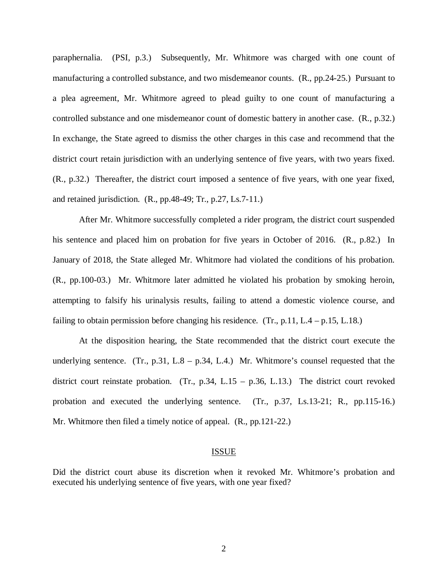paraphernalia. (PSI, p.3.) Subsequently, Mr. Whitmore was charged with one count of manufacturing a controlled substance, and two misdemeanor counts. (R., pp.24-25.) Pursuant to a plea agreement, Mr. Whitmore agreed to plead guilty to one count of manufacturing a controlled substance and one misdemeanor count of domestic battery in another case. (R., p.32.) In exchange, the State agreed to dismiss the other charges in this case and recommend that the district court retain jurisdiction with an underlying sentence of five years, with two years fixed. (R., p.32.) Thereafter, the district court imposed a sentence of five years, with one year fixed, and retained jurisdiction. (R., pp.48-49; Tr., p.27, Ls.7-11.)

After Mr. Whitmore successfully completed a rider program, the district court suspended his sentence and placed him on probation for five years in October of 2016. (R., p.82.) In January of 2018, the State alleged Mr. Whitmore had violated the conditions of his probation. (R., pp.100-03.) Mr. Whitmore later admitted he violated his probation by smoking heroin, attempting to falsify his urinalysis results, failing to attend a domestic violence course, and failing to obtain permission before changing his residence.  $(Tr, p.11, L.4 - p.15, L.18.)$ 

At the disposition hearing, the State recommended that the district court execute the underlying sentence. (Tr., p.31, L.8 – p.34, L.4.) Mr. Whitmore's counsel requested that the district court reinstate probation. (Tr., p.34, L.15 – p.36, L.13.) The district court revoked probation and executed the underlying sentence. (Tr., p.37, Ls.13-21; R., pp.115-16.) Mr. Whitmore then filed a timely notice of appeal. (R., pp.121-22.)

#### ISSUE

Did the district court abuse its discretion when it revoked Mr. Whitmore's probation and executed his underlying sentence of five years, with one year fixed?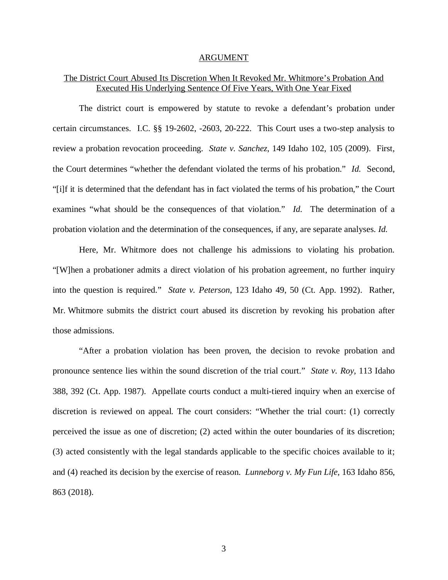#### ARGUMENT

## The District Court Abused Its Discretion When It Revoked Mr. Whitmore's Probation And Executed His Underlying Sentence Of Five Years, With One Year Fixed

The district court is empowered by statute to revoke a defendant's probation under certain circumstances. I.C. §§ 19-2602, -2603, 20-222. This Court uses a two-step analysis to review a probation revocation proceeding. *State v. Sanchez*, 149 Idaho 102, 105 (2009). First, the Court determines "whether the defendant violated the terms of his probation." *Id.* Second, "[i]f it is determined that the defendant has in fact violated the terms of his probation," the Court examines "what should be the consequences of that violation." *Id.* The determination of a probation violation and the determination of the consequences, if any, are separate analyses. *Id.*

Here, Mr. Whitmore does not challenge his admissions to violating his probation. "[W]hen a probationer admits a direct violation of his probation agreement, no further inquiry into the question is required." *State v. Peterson*, 123 Idaho 49, 50 (Ct. App. 1992). Rather, Mr. Whitmore submits the district court abused its discretion by revoking his probation after those admissions.

"After a probation violation has been proven, the decision to revoke probation and pronounce sentence lies within the sound discretion of the trial court." *State v. Roy*, 113 Idaho 388, 392 (Ct. App. 1987). Appellate courts conduct a multi-tiered inquiry when an exercise of discretion is reviewed on appeal. The court considers: "Whether the trial court: (1) correctly perceived the issue as one of discretion; (2) acted within the outer boundaries of its discretion; (3) acted consistently with the legal standards applicable to the specific choices available to it; and (4) reached its decision by the exercise of reason. *Lunneborg v. My Fun Life*, 163 Idaho 856, 863 (2018).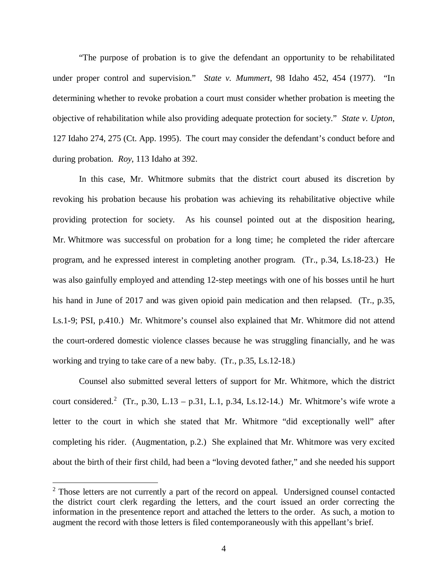"The purpose of probation is to give the defendant an opportunity to be rehabilitated under proper control and supervision." *State v. Mummert*, 98 Idaho 452, 454 (1977). "In determining whether to revoke probation a court must consider whether probation is meeting the objective of rehabilitation while also providing adequate protection for society." *State v. Upton*, 127 Idaho 274, 275 (Ct. App. 1995). The court may consider the defendant's conduct before and during probation. *Roy*, 113 Idaho at 392.

In this case, Mr. Whitmore submits that the district court abused its discretion by revoking his probation because his probation was achieving its rehabilitative objective while providing protection for society. As his counsel pointed out at the disposition hearing, Mr. Whitmore was successful on probation for a long time; he completed the rider aftercare program, and he expressed interest in completing another program. (Tr., p.34, Ls.18-23.) He was also gainfully employed and attending 12-step meetings with one of his bosses until he hurt his hand in June of 2017 and was given opioid pain medication and then relapsed. (Tr., p.35, Ls.1-9; PSI, p.410.) Mr. Whitmore's counsel also explained that Mr. Whitmore did not attend the court-ordered domestic violence classes because he was struggling financially, and he was working and trying to take care of a new baby. (Tr., p.35, Ls.12-18.)

Counsel also submitted several letters of support for Mr. Whitmore, which the district court considered.<sup>[2](#page-4-0)</sup> (Tr., p.30, L.13 – p.31, L.1, p.34, Ls.12-14.) Mr. Whitmore's wife wrote a letter to the court in which she stated that Mr. Whitmore "did exceptionally well" after completing his rider. (Augmentation, p.2.) She explained that Mr. Whitmore was very excited about the birth of their first child, had been a "loving devoted father," and she needed his support

<span id="page-4-0"></span> $2$  Those letters are not currently a part of the record on appeal. Undersigned counsel contacted the district court clerk regarding the letters, and the court issued an order correcting the information in the presentence report and attached the letters to the order. As such, a motion to augment the record with those letters is filed contemporaneously with this appellant's brief.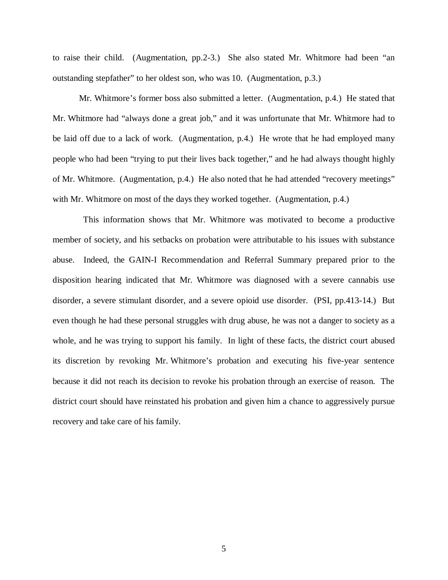to raise their child. (Augmentation, pp.2-3.) She also stated Mr. Whitmore had been "an outstanding stepfather" to her oldest son, who was 10. (Augmentation, p.3.)

Mr. Whitmore's former boss also submitted a letter. (Augmentation, p.4.) He stated that Mr. Whitmore had "always done a great job," and it was unfortunate that Mr. Whitmore had to be laid off due to a lack of work. (Augmentation, p.4.) He wrote that he had employed many people who had been "trying to put their lives back together," and he had always thought highly of Mr. Whitmore. (Augmentation, p.4.) He also noted that he had attended "recovery meetings" with Mr. Whitmore on most of the days they worked together. (Augmentation, p.4.)

 This information shows that Mr. Whitmore was motivated to become a productive member of society, and his setbacks on probation were attributable to his issues with substance abuse. Indeed, the GAIN-I Recommendation and Referral Summary prepared prior to the disposition hearing indicated that Mr. Whitmore was diagnosed with a severe cannabis use disorder, a severe stimulant disorder, and a severe opioid use disorder. (PSI, pp.413-14.) But even though he had these personal struggles with drug abuse, he was not a danger to society as a whole, and he was trying to support his family. In light of these facts, the district court abused its discretion by revoking Mr. Whitmore's probation and executing his five-year sentence because it did not reach its decision to revoke his probation through an exercise of reason. The district court should have reinstated his probation and given him a chance to aggressively pursue recovery and take care of his family.